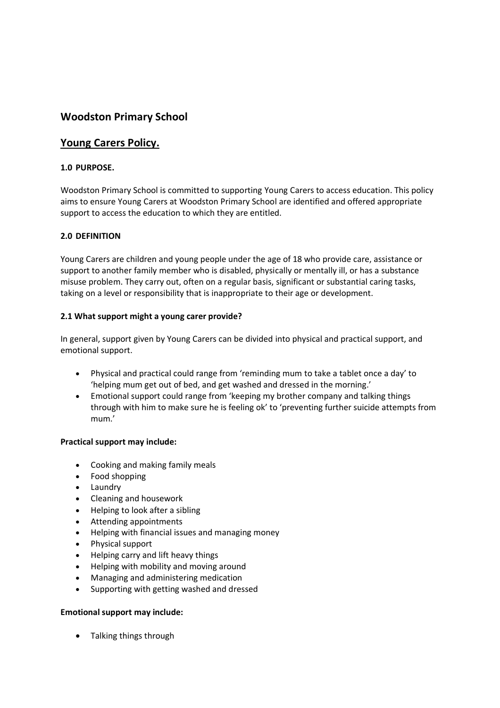# **Woodston Primary School**

## **Young Carers Policy.**

## **1.0 PURPOSE.**

Woodston Primary School is committed to supporting Young Carers to access education. This policy aims to ensure Young Carers at Woodston Primary School are identified and offered appropriate support to access the education to which they are entitled.

### **2.0 DEFINITION**

Young Carers are children and young people under the age of 18 who provide care, assistance or support to another family member who is disabled, physically or mentally ill, or has a substance misuse problem. They carry out, often on a regular basis, significant or substantial caring tasks, taking on a level or responsibility that is inappropriate to their age or development.

### **2.1 What support might a young carer provide?**

In general, support given by Young Carers can be divided into physical and practical support, and emotional support.

- Physical and practical could range from 'reminding mum to take a tablet once a day' to 'helping mum get out of bed, and get washed and dressed in the morning.'
- Emotional support could range from 'keeping my brother company and talking things through with him to make sure he is feeling ok' to 'preventing further suicide attempts from mum.'

### **Practical support may include:**

- Cooking and making family meals
- Food shopping
- Laundry
- Cleaning and housework
- Helping to look after a sibling
- Attending appointments
- Helping with financial issues and managing money
- Physical support
- Helping carry and lift heavy things
- Helping with mobility and moving around
- Managing and administering medication
- Supporting with getting washed and dressed

### **Emotional support may include:**

• Talking things through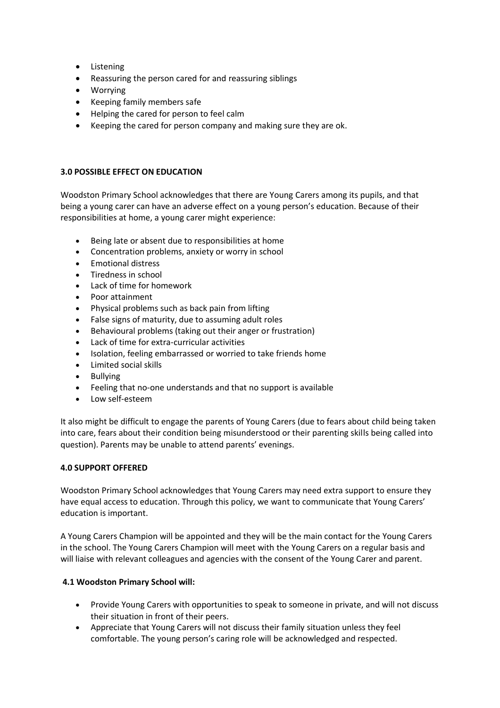- Listening
- Reassuring the person cared for and reassuring siblings
- Worrying
- Keeping family members safe
- Helping the cared for person to feel calm
- Keeping the cared for person company and making sure they are ok.

### **3.0 POSSIBLE EFFECT ON EDUCATION**

Woodston Primary School acknowledges that there are Young Carers among its pupils, and that being a young carer can have an adverse effect on a young person's education. Because of their responsibilities at home, a young carer might experience:

- Being late or absent due to responsibilities at home
- Concentration problems, anxiety or worry in school
- Emotional distress
- Tiredness in school
- Lack of time for homework
- Poor attainment
- Physical problems such as back pain from lifting
- False signs of maturity, due to assuming adult roles
- Behavioural problems (taking out their anger or frustration)
- Lack of time for extra-curricular activities
- Isolation, feeling embarrassed or worried to take friends home
- Limited social skills
- **Bullving**
- Feeling that no-one understands and that no support is available
- Low self-esteem

It also might be difficult to engage the parents of Young Carers (due to fears about child being taken into care, fears about their condition being misunderstood or their parenting skills being called into question). Parents may be unable to attend parents' evenings.

### **4.0 SUPPORT OFFERED**

Woodston Primary School acknowledges that Young Carers may need extra support to ensure they have equal access to education. Through this policy, we want to communicate that Young Carers' education is important.

A Young Carers Champion will be appointed and they will be the main contact for the Young Carers in the school. The Young Carers Champion will meet with the Young Carers on a regular basis and will liaise with relevant colleagues and agencies with the consent of the Young Carer and parent.

### **4.1 Woodston Primary School will:**

- Provide Young Carers with opportunities to speak to someone in private, and will not discuss their situation in front of their peers.
- Appreciate that Young Carers will not discuss their family situation unless they feel comfortable. The young person's caring role will be acknowledged and respected.